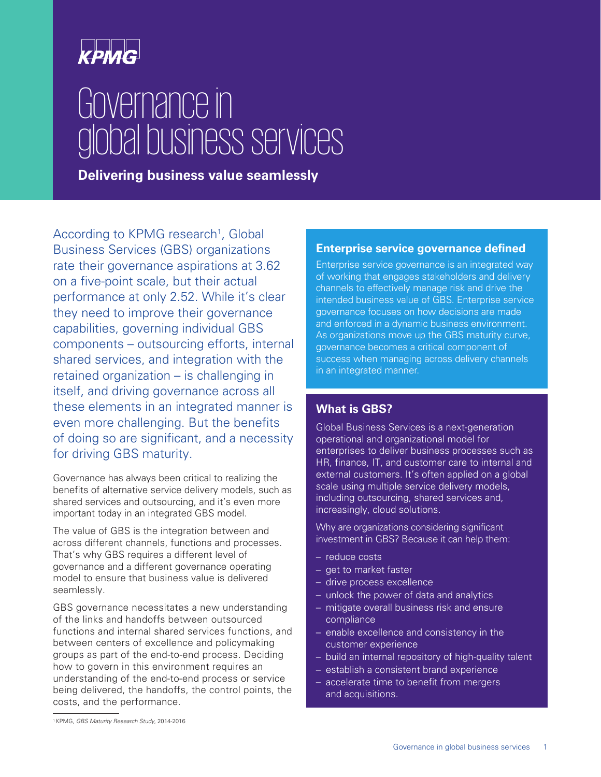

# Governance in global business services

**Delivering business value seamlessly**

According to KPMG research<sup>1</sup>, Global Business Services (GBS) organizations rate their governance aspirations at 3.62 on a five-point scale, but their actual performance at only 2.52. While it's clear they need to improve their governance capabilities, governing individual GBS components – outsourcing efforts, internal shared services, and integration with the retained organization – is challenging in itself, and driving governance across all these elements in an integrated manner is even more challenging. But the benefits of doing so are significant, and a necessity for driving GBS maturity.

Governance has always been critical to realizing the benefits of alternative service delivery models, such as shared services and outsourcing, and it's even more important today in an integrated GBS model.

The value of GBS is the integration between and across different channels, functions and processes. That's why GBS requires a different level of governance and a different governance operating model to ensure that business value is delivered seamlessly.

GBS governance necessitates a new understanding of the links and handoffs between outsourced functions and internal shared services functions, and between centers of excellence and policymaking groups as part of the end-to-end process. Deciding how to govern in this environment requires an understanding of the end-to-end process or service being delivered, the handoffs, the control points, the costs, and the performance.

#### **Enterprise service governance defined**

Enterprise service governance is an integrated way of working that engages stakeholders and delivery channels to effectively manage risk and drive the intended business value of GBS. Enterprise service governance focuses on how decisions are made and enforced in a dynamic business environment. As organizations move up the GBS maturity curve, governance becomes a critical component of success when managing across delivery channels in an integrated manner.

### **What is GBS?**

Global Business Services is a next-generation operational and organizational model for enterprises to deliver business processes such as HR, finance, IT, and customer care to internal and external customers. It's often applied on a global scale using multiple service delivery models, including outsourcing, shared services and, increasingly, cloud solutions.

Why are organizations considering significant investment in GBS? Because it can help them:

- reduce costs
- get to market faster
- drive process excellence
- unlock the power of data and analytics
- mitigate overall business risk and ensure compliance
- enable excellence and consistency in the customer experience
- build an internal repository of high-quality talent
- establish a consistent brand experience
- accelerate time to benefit from mergers and acquisitions.

<sup>1</sup> KPMG, GBS Maturity Research Study, 2014-2016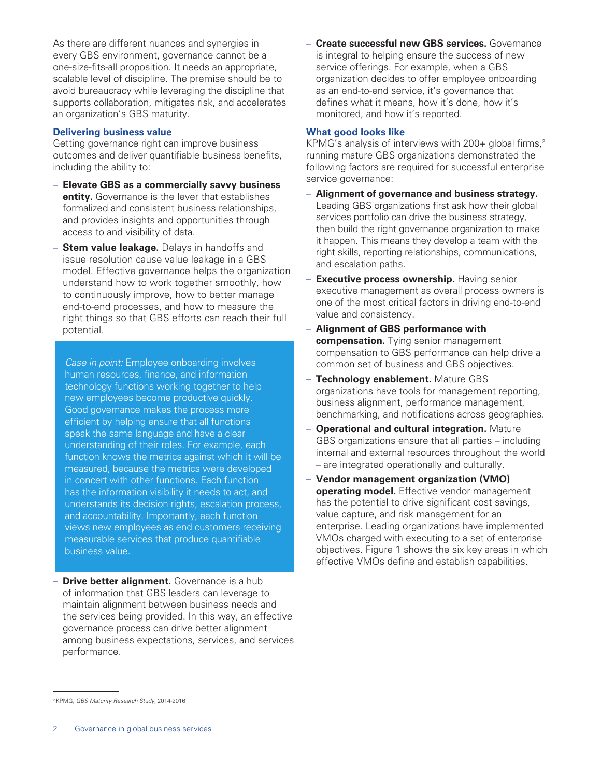As there are different nuances and synergies in every GBS environment, governance cannot be a one-size-fits-all proposition. It needs an appropriate, scalable level of discipline. The premise should be to avoid bureaucracy while leveraging the discipline that supports collaboration, mitigates risk, and accelerates an organization's GBS maturity.

#### **Delivering business value**

Getting governance right can improve business outcomes and deliver quantifiable business benefits, including the ability to:

- **Elevate GBS as a commercially savvy business entity.** Governance is the lever that establishes formalized and consistent business relationships, and provides insights and opportunities through access to and visibility of data.
- **Stem value leakage.** Delays in handoffs and issue resolution cause value leakage in a GBS model. Effective governance helps the organization understand how to work together smoothly, how to continuously improve, how to better manage end-to-end processes, and how to measure the right things so that GBS efforts can reach their full potential.

Case in point: Employee onboarding involves human resources, finance, and information technology functions working together to help new employees become productive quickly. Good governance makes the process more efficient by helping ensure that all functions speak the same language and have a clear understanding of their roles. For example, each function knows the metrics against which it will be measured, because the metrics were developed in concert with other functions. Each function has the information visibility it needs to act, and understands its decision rights, escalation process, and accountability. Importantly, each function views new employees as end customers receiving measurable services that produce quantifiable business value.

– **Drive better alignment.** Governance is a hub of information that GBS leaders can leverage to maintain alignment between business needs and the services being provided. In this way, an effective governance process can drive better alignment among business expectations, services, and services performance.

– **Create successful new GBS services.** Governance is integral to helping ensure the success of new service offerings. For example, when a GBS organization decides to offer employee onboarding as an end-to-end service, it's governance that defines what it means, how it's done, how it's monitored, and how it's reported.

#### **What good looks like**

KPMG's analysis of interviews with  $200+$  global firms,<sup>2</sup> running mature GBS organizations demonstrated the following factors are required for successful enterprise service governance:

- **Alignment of governance and business strategy.** Leading GBS organizations first ask how their global services portfolio can drive the business strategy, then build the right governance organization to make it happen. This means they develop a team with the right skills, reporting relationships, communications, and escalation paths.
- **Executive process ownership.** Having senior executive management as overall process owners is one of the most critical factors in driving end-to-end value and consistency.
- **Alignment of GBS performance with compensation.** Tying senior management compensation to GBS performance can help drive a common set of business and GBS objectives.
- **Technology enablement.** Mature GBS organizations have tools for management reporting, business alignment, performance management, benchmarking, and notifications across geographies.
- **Operational and cultural integration.** Mature GBS organizations ensure that all parties – including internal and external resources throughout the world – are integrated operationally and culturally.
- **Vendor management organization (VMO) operating model.** Effective vendor management has the potential to drive significant cost savings, value capture, and risk management for an enterprise. Leading organizations have implemented VMOs charged with executing to a set of enterprise objectives. Figure 1 shows the six key areas in which effective VMOs define and establish capabilities.

<sup>2</sup> KPMG, GBS Maturity Research Study, 2014-2016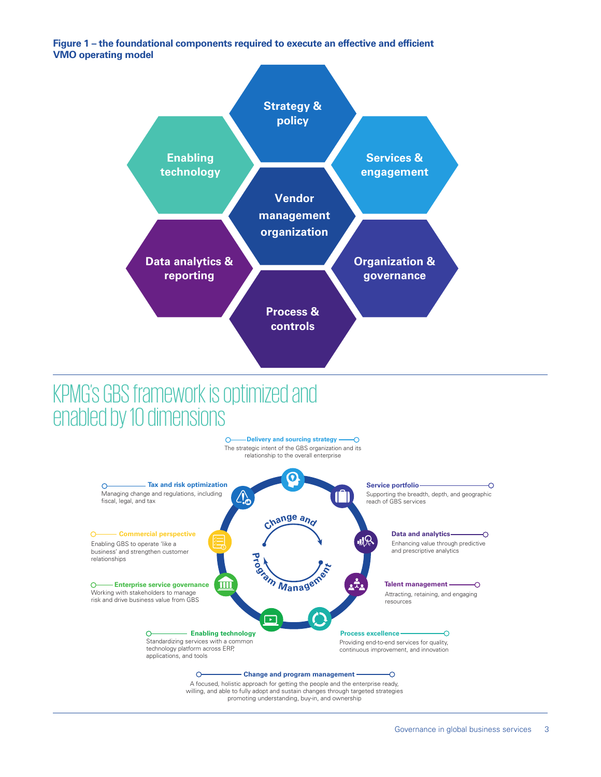**Figure 1 – the foundational components required to execute an effective and efficient VMO operating model**



### KPMG's GBS framework is optimized and enabled by 10 dimensions



willing, and able to fully adopt and sustain changes through targeted strategies promoting understanding, buy-in, and ownership